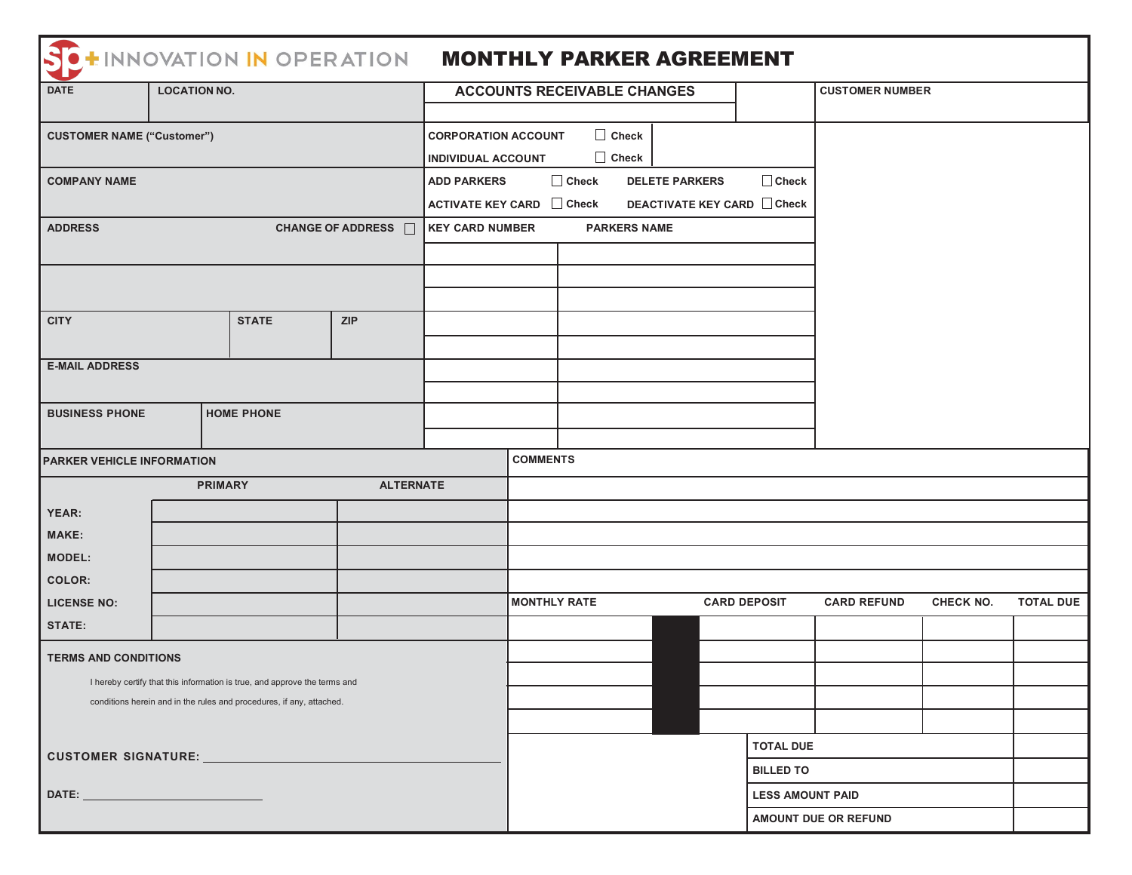| HINNOVATION IN OPERATION                                                  |                            |  |  | <b>MONTHLY PARKER AGREEMENT</b>                                             |                 |                  |                     |                         |           |                  |  |
|---------------------------------------------------------------------------|----------------------------|--|--|-----------------------------------------------------------------------------|-----------------|------------------|---------------------|-------------------------|-----------|------------------|--|
| <b>DATE</b>                                                               | <b>LOCATION NO.</b>        |  |  | <b>ACCOUNTS RECEIVABLE CHANGES</b>                                          |                 |                  |                     | <b>CUSTOMER NUMBER</b>  |           |                  |  |
|                                                                           |                            |  |  |                                                                             |                 |                  |                     |                         |           |                  |  |
| <b>CUSTOMER NAME ("Customer")</b>                                         |                            |  |  | $\Box$ Check<br><b>CORPORATION ACCOUNT</b>                                  |                 |                  |                     |                         |           |                  |  |
|                                                                           |                            |  |  | $\Box$ Check<br><b>INDIVIDUAL ACCOUNT</b>                                   |                 |                  |                     |                         |           |                  |  |
| <b>COMPANY NAME</b>                                                       |                            |  |  | $\Box$ Check<br>$\Box$ Check<br><b>ADD PARKERS</b><br><b>DELETE PARKERS</b> |                 |                  |                     |                         |           |                  |  |
|                                                                           |                            |  |  | <b>DEACTIVATE KEY CARD</b> □ Check<br>ACTIVATE KEY CARD □ Check             |                 |                  |                     |                         |           |                  |  |
| CHANGE OF ADDRESS □<br><b>ADDRESS</b>                                     |                            |  |  | <b>PARKERS NAME</b><br><b>KEY CARD NUMBER</b>                               |                 |                  |                     |                         |           |                  |  |
|                                                                           |                            |  |  |                                                                             |                 |                  |                     |                         |           |                  |  |
|                                                                           |                            |  |  |                                                                             |                 |                  |                     |                         |           |                  |  |
|                                                                           |                            |  |  |                                                                             |                 |                  |                     |                         |           |                  |  |
| <b>CITY</b>                                                               | <b>STATE</b><br><b>ZIP</b> |  |  |                                                                             |                 |                  |                     |                         |           |                  |  |
|                                                                           |                            |  |  |                                                                             |                 |                  |                     |                         |           |                  |  |
| <b>E-MAIL ADDRESS</b>                                                     |                            |  |  |                                                                             |                 |                  |                     |                         |           |                  |  |
|                                                                           |                            |  |  |                                                                             |                 |                  |                     |                         |           |                  |  |
| <b>HOME PHONE</b><br><b>BUSINESS PHONE</b>                                |                            |  |  |                                                                             |                 |                  |                     |                         |           |                  |  |
|                                                                           |                            |  |  |                                                                             |                 |                  |                     |                         |           |                  |  |
| <b>PARKER VEHICLE INFORMATION</b>                                         |                            |  |  |                                                                             | <b>COMMENTS</b> |                  |                     |                         |           |                  |  |
| <b>ALTERNATE</b><br><b>PRIMARY</b>                                        |                            |  |  |                                                                             |                 |                  |                     |                         |           |                  |  |
| YEAR:                                                                     |                            |  |  |                                                                             |                 |                  |                     |                         |           |                  |  |
| <b>MAKE:</b>                                                              |                            |  |  |                                                                             |                 |                  |                     |                         |           |                  |  |
| <b>MODEL:</b>                                                             |                            |  |  |                                                                             |                 |                  |                     |                         |           |                  |  |
| <b>COLOR:</b>                                                             |                            |  |  |                                                                             |                 |                  |                     |                         |           |                  |  |
| <b>LICENSE NO:</b>                                                        |                            |  |  | <b>MONTHLY RATE</b>                                                         |                 |                  | <b>CARD DEPOSIT</b> | <b>CARD REFUND</b>      | CHECK NO. | <b>TOTAL DUE</b> |  |
| <b>STATE:</b>                                                             |                            |  |  |                                                                             |                 |                  |                     |                         |           |                  |  |
| <b>TERMS AND CONDITIONS</b>                                               |                            |  |  |                                                                             |                 |                  |                     |                         |           |                  |  |
| I hereby certify that this information is true, and approve the terms and |                            |  |  |                                                                             |                 |                  |                     |                         |           |                  |  |
| conditions herein and in the rules and procedures, if any, attached.      |                            |  |  |                                                                             |                 |                  |                     |                         |           |                  |  |
|                                                                           |                            |  |  |                                                                             |                 |                  |                     |                         |           |                  |  |
|                                                                           |                            |  |  |                                                                             |                 | <b>TOTAL DUE</b> |                     |                         |           |                  |  |
| CUSTOMER SIGNATURE: ________________                                      |                            |  |  |                                                                             |                 | <b>BILLED TO</b> |                     |                         |           |                  |  |
|                                                                           |                            |  |  |                                                                             |                 |                  |                     | <b>LESS AMOUNT PAID</b> |           |                  |  |
|                                                                           |                            |  |  |                                                                             |                 |                  |                     | AMOUNT DUE OR REFUND    |           |                  |  |